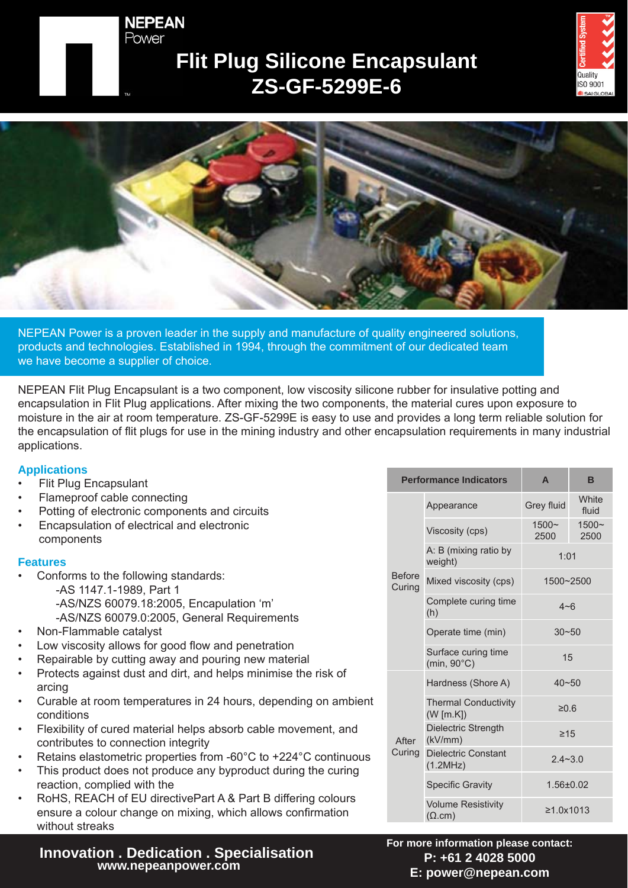#### **NEPEAN** Power

## **Flit Plug Silicone Encapsulant ZS-GF-5299E-6**





NEPEAN Power is a proven leader in the supply and manufacture of quality engineered solutions, products and technologies. Established in 1994, through the commitment of our dedicated team we have become a supplier of choice.

NEPEAN Flit Plug Encapsulant is a two component, low viscosity silicone rubber for insulative potting and encapsulation in Flit Plug applications. After mixing the two components, the material cures upon exposure to moisture in the air at room temperature. ZS-GF-5299E is easy to use and provides a long term reliable solution for the encapsulation of flit plugs for use in the mining industry and other encapsulation requirements in many industrial applications.

#### **Applications**

- Flit Plug Encapsulant
- Flameproof cable connecting
- Potting of electronic components and circuits
- Encapsulation of electrical and electronic components

#### **Features**

- Conforms to the following standards:
	- -AS 1147.1-1989, Part 1 -AS/NZS 60079.18:2005, Encapulation 'm' -AS/NZS 60079.0:2005, General Requirements
- Non-Flammable catalyst
- Low viscosity allows for good flow and penetration
- Repairable by cutting away and pouring new material
- Protects against dust and dirt, and helps minimise the risk of arcing
- Curable at room temperatures in 24 hours, depending on ambient conditions
- Flexibility of cured material helps absorb cable movement, and contributes to connection integrity
- Retains elastometric properties from -60°C to +224°C continuous
- This product does not produce any byproduct during the curing reaction, complied with the
- RoHS, REACH of EU directivePart A & Part B differing colours ensure a colour change on mixing, which allows confirmation without streaks

# **Innovation . Dedication . Specialisation**

| <b>Performance Indicators</b> |                                             | A                | B                |
|-------------------------------|---------------------------------------------|------------------|------------------|
| <b>Before</b><br>Curing       | Appearance                                  | Grey fluid       | White<br>fluid   |
|                               | Viscosity (cps)                             | $1500 -$<br>2500 | $1500 -$<br>2500 |
|                               | A: B (mixing ratio by<br>weight)            | 1:01             |                  |
|                               | Mixed viscosity (cps)                       | 1500~2500        |                  |
|                               | Complete curing time<br>(h)                 | $4 - 6$          |                  |
|                               | Operate time (min)                          | $30 - 50$        |                  |
|                               | Surface curing time<br>$(min, 90^{\circ}C)$ | 15               |                  |
| After<br>Curing               | Hardness (Shore A)                          | $40 - 50$        |                  |
|                               | <b>Thermal Conductivity</b><br>(W [m.K])    | ≥0.6             |                  |
|                               | Dielectric Strength<br>(kV/mm)              | $\geq 15$        |                  |
|                               | <b>Dielectric Constant</b><br>(1.2MHz)      | $2.4 - 3.0$      |                  |
|                               | <b>Specific Gravity</b>                     | $1.56 \pm 0.02$  |                  |
|                               | <b>Volume Resistivity</b><br>$(\Omega.cm)$  | ≥1.0x1013        |                  |

**For more information please contact: P: +61 2 4028 5000 E: power@nepean.com**